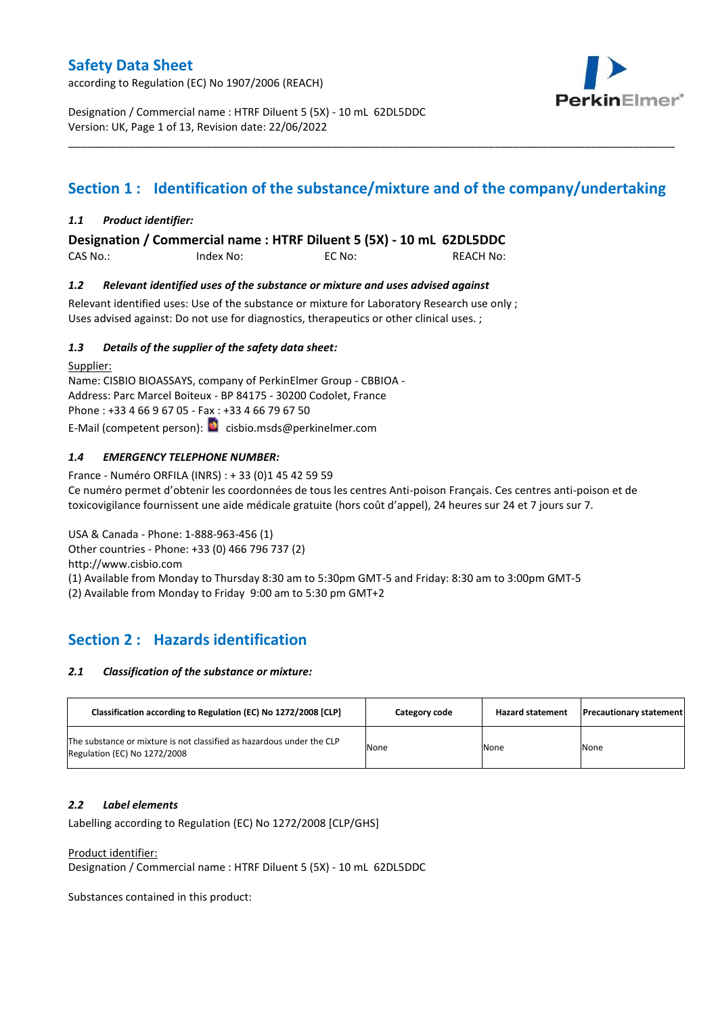according to Regulation (EC) No 1907/2006 (REACH)



Designation / Commercial name : HTRF Diluent 5 (5X) - 10 mL 62DL5DDC Version: UK, Page 1 of 13, Revision date: 22/06/2022

## **Section 1 : Identification of the substance/mixture and of the company/undertaking**

\_\_\_\_\_\_\_\_\_\_\_\_\_\_\_\_\_\_\_\_\_\_\_\_\_\_\_\_\_\_\_\_\_\_\_\_\_\_\_\_\_\_\_\_\_\_\_\_\_\_\_\_\_\_\_\_\_\_\_\_\_\_\_\_\_\_\_\_\_\_\_\_\_\_\_\_\_\_\_\_\_\_\_\_\_\_\_\_\_\_\_\_\_\_\_\_\_\_\_\_\_

### *1.1 Product identifier:*

**Designation / Commercial name : HTRF Diluent 5 (5X) - 10 mL 62DL5DDC** 

CAS No.: Index No: EC No: REACH No:

### *1.2 Relevant identified uses of the substance or mixture and uses advised against*

Relevant identified uses: Use of the substance or mixture for Laboratory Research use only; Uses advised against: Do not use for diagnostics, therapeutics or other clinical uses. ;

### *1.3 Details of the supplier of the safety data sheet:*

Supplier: Name: CISBIO BIOASSAYS, company of PerkinElmer Group - CBBIOA - Address: Parc Marcel Boiteux - BP 84175 - 30200 Codolet, France Phone : +33 4 66 9 67 05 - Fax : +33 4 66 79 67 50 E-Mail (competent person): **c**isbio.msds@perkinelmer.com

### *1.4 EMERGENCY TELEPHONE NUMBER:*

France - Numéro ORFILA (INRS) : + 33 (0)1 45 42 59 59 Ce numéro permet d'obtenir les coordonnées de tous les centres Anti-poison Français. Ces centres anti-poison et de toxicovigilance fournissent une aide médicale gratuite (hors coût d'appel), 24 heures sur 24 et 7 jours sur 7.

USA & Canada - Phone: 1-888-963-456 (1) Other countries - Phone: +33 (0) 466 796 737 (2) http://www.cisbio.com

(1) Available from Monday to Thursday 8:30 am to 5:30pm GMT-5 and Friday: 8:30 am to 3:00pm GMT-5

(2) Available from Monday to Friday 9:00 am to 5:30 pm GMT+2

## **Section 2 : Hazards identification**

#### *2.1 Classification of the substance or mixture:*

| Classification according to Regulation (EC) No 1272/2008 [CLP]                                        | Category code | <b>Hazard statement</b> | <b>Precautionary statement</b> |
|-------------------------------------------------------------------------------------------------------|---------------|-------------------------|--------------------------------|
| The substance or mixture is not classified as hazardous under the CLP<br>Regulation (EC) No 1272/2008 | None          | None                    | None                           |

#### *2.2 Label elements*

Labelling according to Regulation (EC) No 1272/2008 [CLP/GHS]

Product identifier:

Designation / Commercial name : HTRF Diluent 5 (5X) - 10 mL 62DL5DDC

Substances contained in this product: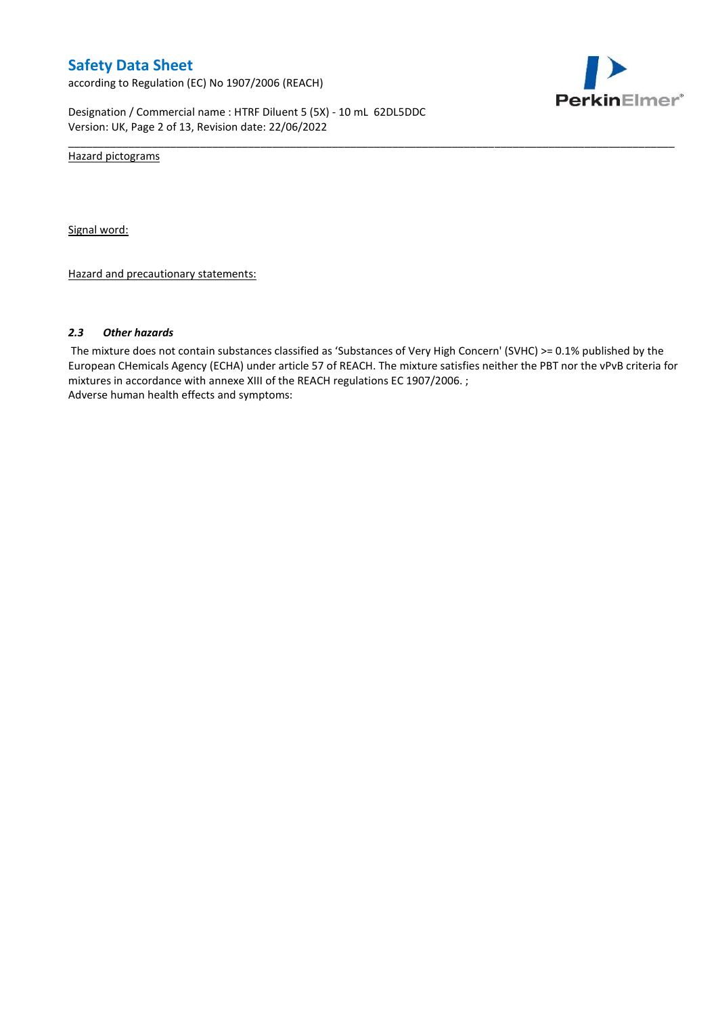according to Regulation (EC) No 1907/2006 (REACH)



Designation / Commercial name : HTRF Diluent 5 (5X) - 10 mL 62DL5DDC Version: UK, Page 2 of 13, Revision date: 22/06/2022

Hazard pictograms

Signal word:

Hazard and precautionary statements:

#### *2.3 Other hazards*

The mixture does not contain substances classified as 'Substances of Very High Concern' (SVHC) >= 0.1% published by the European CHemicals Agency (ECHA) under article 57 of REACH. The mixture satisfies neither the PBT nor the vPvB criteria for mixtures in accordance with annexe XIII of the REACH regulations EC 1907/2006. ; Adverse human health effects and symptoms:

\_\_\_\_\_\_\_\_\_\_\_\_\_\_\_\_\_\_\_\_\_\_\_\_\_\_\_\_\_\_\_\_\_\_\_\_\_\_\_\_\_\_\_\_\_\_\_\_\_\_\_\_\_\_\_\_\_\_\_\_\_\_\_\_\_\_\_\_\_\_\_\_\_\_\_\_\_\_\_\_\_\_\_\_\_\_\_\_\_\_\_\_\_\_\_\_\_\_\_\_\_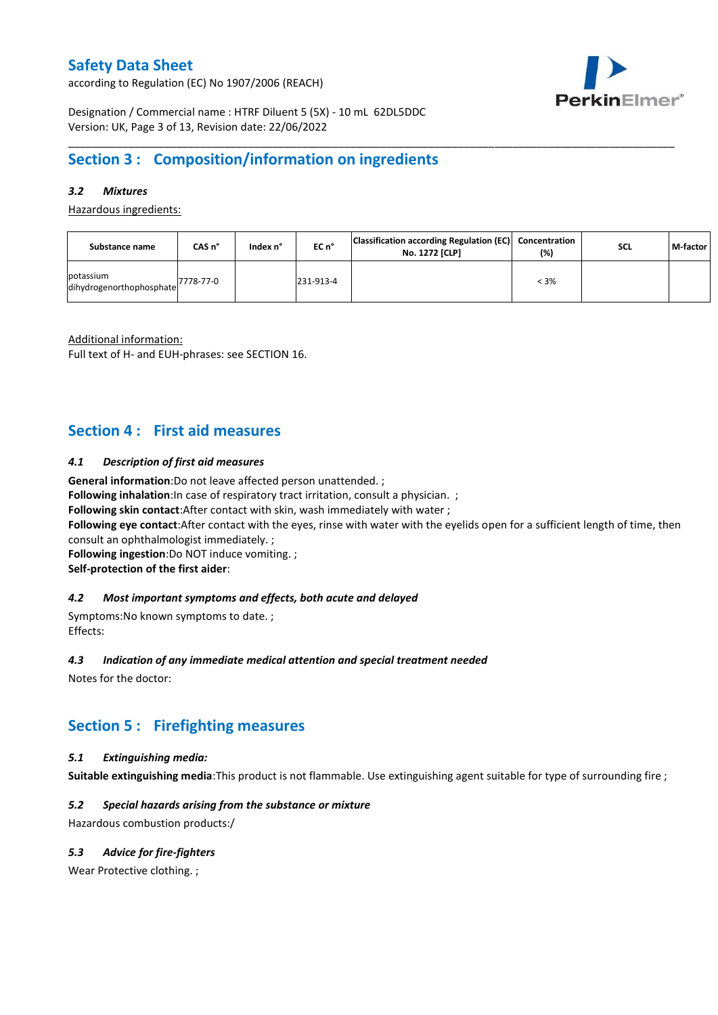according to Regulation (EC) No 1907/2006 (REACH)



Designation / Commercial name : HTRF Diluent 5 (5X) - 10 mL 62DL5DDC Version: UK, Page 3 of 13, Revision date: 22/06/2022

## **Section 3 : Composition/information on ingredients**

### *3.2 Mixtures*

Hazardous ingredients:

| Substance name                        | CAS n°    | Index n° | $ECn$ <sup>°</sup> | Classification according Regulation (EC) Concentration<br>No. 1272 [CLP] | $(\%)$  | <b>SCL</b> | M-factor |
|---------------------------------------|-----------|----------|--------------------|--------------------------------------------------------------------------|---------|------------|----------|
| potassium<br>dihydrogenorthophosphate | 7778-77-0 |          | 231-913-4          |                                                                          | $< 3\%$ |            |          |

\_\_\_\_\_\_\_\_\_\_\_\_\_\_\_\_\_\_\_\_\_\_\_\_\_\_\_\_\_\_\_\_\_\_\_\_\_\_\_\_\_\_\_\_\_\_\_\_\_\_\_\_\_\_\_\_\_\_\_\_\_\_\_\_\_\_\_\_\_\_\_\_\_\_\_\_\_\_\_\_\_\_\_\_\_\_\_\_\_\_\_\_\_\_\_\_\_\_\_\_\_

Additional information:

Full text of H- and EUH-phrases: see SECTION 16.

### **Section 4 : First aid measures**

#### *4.1 Description of first aid measures*

**General information**:Do not leave affected person unattended. ;

**Following inhalation:**In case of respiratory tract irritation, consult a physician. ;

**Following skin contact**:After contact with skin, wash immediately with water ;

**Following eye contact**:After contact with the eyes, rinse with water with the eyelids open for a sufficient length of time, then consult an ophthalmologist immediately. ;

**Following ingestion**:Do NOT induce vomiting. ; **Self-protection of the first aider**:

#### *4.2 Most important symptoms and effects, both acute and delayed*

Symptoms:No known symptoms to date. ; Effects:

#### *4.3 Indication of any immediate medical attention and special treatment needed*

Notes for the doctor:

### **Section 5 : Firefighting measures**

#### *5.1 Extinguishing media:*

**Suitable extinguishing media**:This product is not flammable. Use extinguishing agent suitable for type of surrounding fire ;

#### *5.2 Special hazards arising from the substance or mixture*

Hazardous combustion products:/

#### *5.3 Advice for fire-fighters*

Wear Protective clothing.;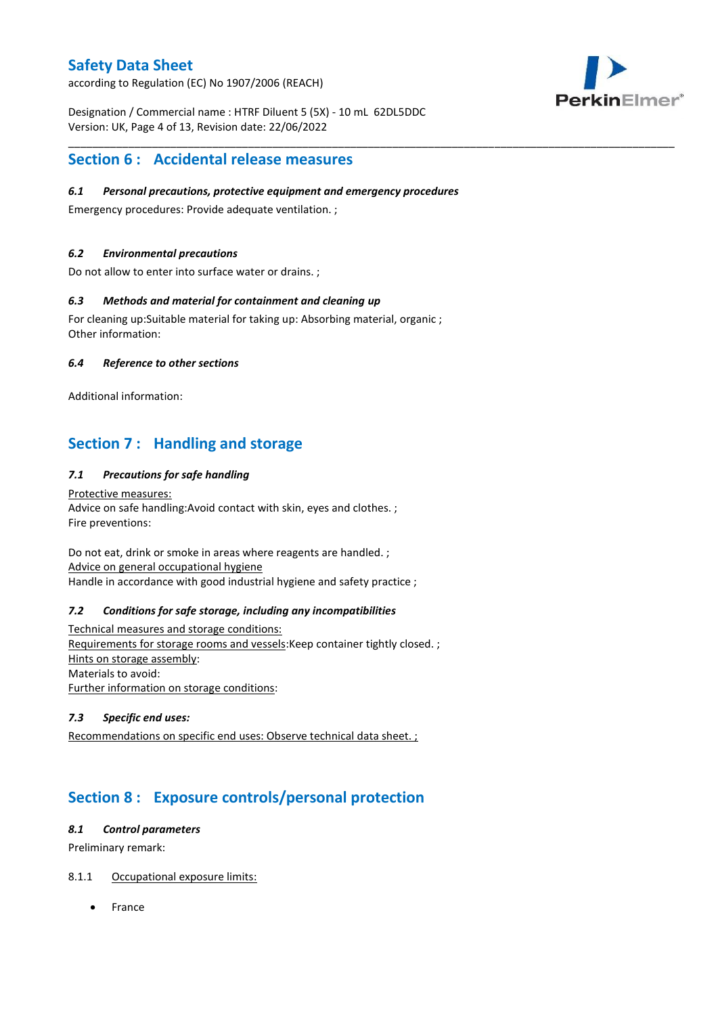according to Regulation (EC) No 1907/2006 (REACH)



Designation / Commercial name : HTRF Diluent 5 (5X) - 10 mL 62DL5DDC Version: UK, Page 4 of 13, Revision date: 22/06/2022

### **Section 6 : Accidental release measures**

### *6.1 Personal precautions, protective equipment and emergency procedures*

\_\_\_\_\_\_\_\_\_\_\_\_\_\_\_\_\_\_\_\_\_\_\_\_\_\_\_\_\_\_\_\_\_\_\_\_\_\_\_\_\_\_\_\_\_\_\_\_\_\_\_\_\_\_\_\_\_\_\_\_\_\_\_\_\_\_\_\_\_\_\_\_\_\_\_\_\_\_\_\_\_\_\_\_\_\_\_\_\_\_\_\_\_\_\_\_\_\_\_\_\_

Emergency procedures: Provide adequate ventilation. ;

### *6.2 Environmental precautions*

Do not allow to enter into surface water or drains. ;

### *6.3 Methods and material for containment and cleaning up*

For cleaning up:Suitable material for taking up: Absorbing material, organic ; Other information:

### *6.4 Reference to other sections*

Additional information:

## **Section 7 : Handling and storage**

### *7.1 Precautions for safe handling*

Protective measures: Advice on safe handling:Avoid contact with skin, eyes and clothes. ; Fire preventions:

Do not eat, drink or smoke in areas where reagents are handled. ; Advice on general occupational hygiene Handle in accordance with good industrial hygiene and safety practice ;

#### *7.2 Conditions for safe storage, including any incompatibilities*

Technical measures and storage conditions: Requirements for storage rooms and vessels:Keep container tightly closed. ; Hints on storage assembly: Materials to avoid: Further information on storage conditions:

### *7.3 Specific end uses:*

Recommendations on specific end uses: Observe technical data sheet. ;

## **Section 8 : Exposure controls/personal protection**

#### *8.1 Control parameters*

Preliminary remark:

### 8.1.1 Occupational exposure limits:

France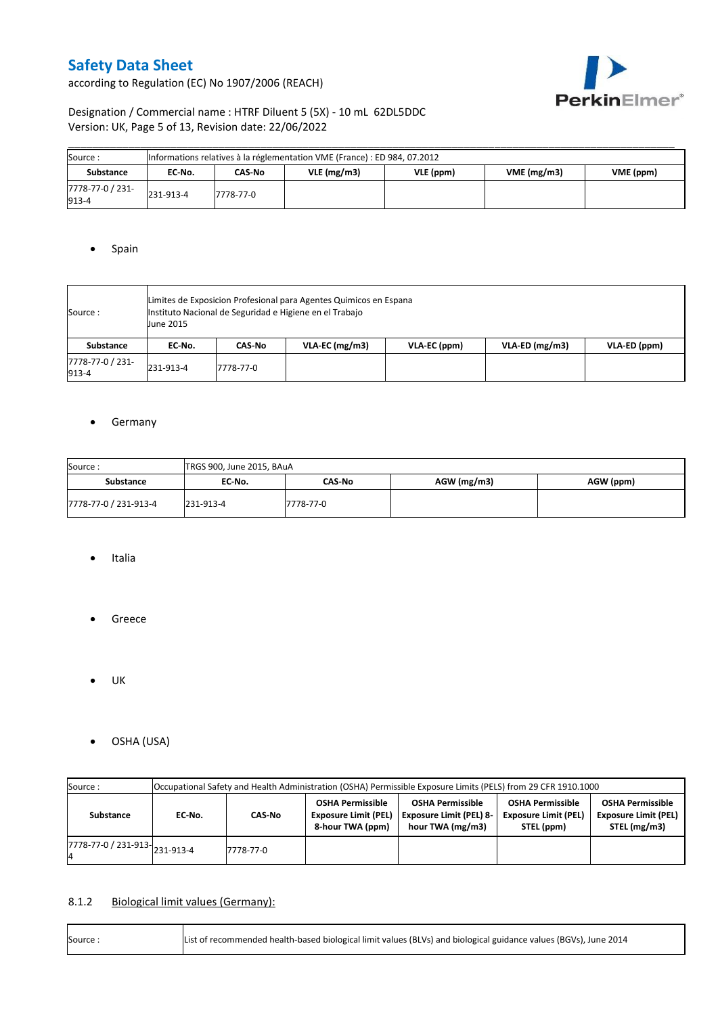according to Regulation (EC) No 1907/2006 (REACH)



### Designation / Commercial name : HTRF Diluent 5 (5X) - 10 mL 62DL5DDC Version: UK, Page 5 of 13, Revision date: 22/06/2022

| Source:                   | Informations relatives à la réglementation VME (France) : ED 984, 07.2012 |           |            |           |            |           |  |  |  |  |  |
|---------------------------|---------------------------------------------------------------------------|-----------|------------|-----------|------------|-----------|--|--|--|--|--|
| <b>Substance</b>          | EC No.                                                                    | CAS-No    | VLE(mg/m3) | VLE (ppm) | VME(mg/m3) | VME (ppm) |  |  |  |  |  |
| 7778-77-0 / 231-<br>913-4 | 231-913-4                                                                 | 7778-77-0 |            |           |            |           |  |  |  |  |  |

### • Spain

| Source :                  | June 2015 | Limites de Exposicion Profesional para Agentes Quimicos en Espana<br>Instituto Nacional de Seguridad e Higiene en el Trabajo |                |              |                |              |  |  |  |  |  |
|---------------------------|-----------|------------------------------------------------------------------------------------------------------------------------------|----------------|--------------|----------------|--------------|--|--|--|--|--|
| Substance                 | EC No.    | CAS-No                                                                                                                       | VLA-EC (mg/m3) | VLA-EC (ppm) | VLA-ED (mg/m3) | VLA-ED (ppm) |  |  |  |  |  |
| 7778-77-0 / 231-<br>913-4 | 231-913-4 | 7778-77-0                                                                                                                    |                |              |                |              |  |  |  |  |  |

### **•** Germany

| Source:               | TRGS 900, June 2015, BAuA |           |               |           |  |  |  |  |  |  |
|-----------------------|---------------------------|-----------|---------------|-----------|--|--|--|--|--|--|
| Substance             | EC No.                    | CAS-No    | $AGW$ (mg/m3) | AGW (ppm) |  |  |  |  |  |  |
| 7778-77-0 / 231-913-4 | 231-913-4                 | 7778-77-0 |               |           |  |  |  |  |  |  |

- Italia
- **•** Greece
- $\bullet$  UK
- OSHA (USA)

| Source:                                                | Occupational Safety and Health Administration (OSHA) Permissible Exposure Limits (PELS) from 29 CFR 1910.1000 |           |                                                                            |                                                                               |                                                                      |                                                                        |  |  |  |  |
|--------------------------------------------------------|---------------------------------------------------------------------------------------------------------------|-----------|----------------------------------------------------------------------------|-------------------------------------------------------------------------------|----------------------------------------------------------------------|------------------------------------------------------------------------|--|--|--|--|
| Substance                                              | CAS-No<br>EC No.                                                                                              |           | <b>OSHA Permissible</b><br><b>Exposure Limit (PEL)</b><br>8-hour TWA (ppm) | <b>OSHA Permissible</b><br><b>Exposure Limit (PEL) 8-</b><br>hour TWA (mg/m3) | <b>OSHA Permissible</b><br><b>Exposure Limit (PEL)</b><br>STEL (ppm) | <b>OSHA Permissible</b><br><b>Exposure Limit (PEL)</b><br>STEL (mg/m3) |  |  |  |  |
| $\frac{1}{1778}$ -77-0 / 231-913- $\big _{231}$ -913-4 |                                                                                                               | 7778-77-0 |                                                                            |                                                                               |                                                                      |                                                                        |  |  |  |  |

### 8.1.2 Biological limit values (Germany):

| Source: | List of recommended health-based biological limit values (BLVs) and biological guidance values (BGVs), June 2014 |
|---------|------------------------------------------------------------------------------------------------------------------|
|---------|------------------------------------------------------------------------------------------------------------------|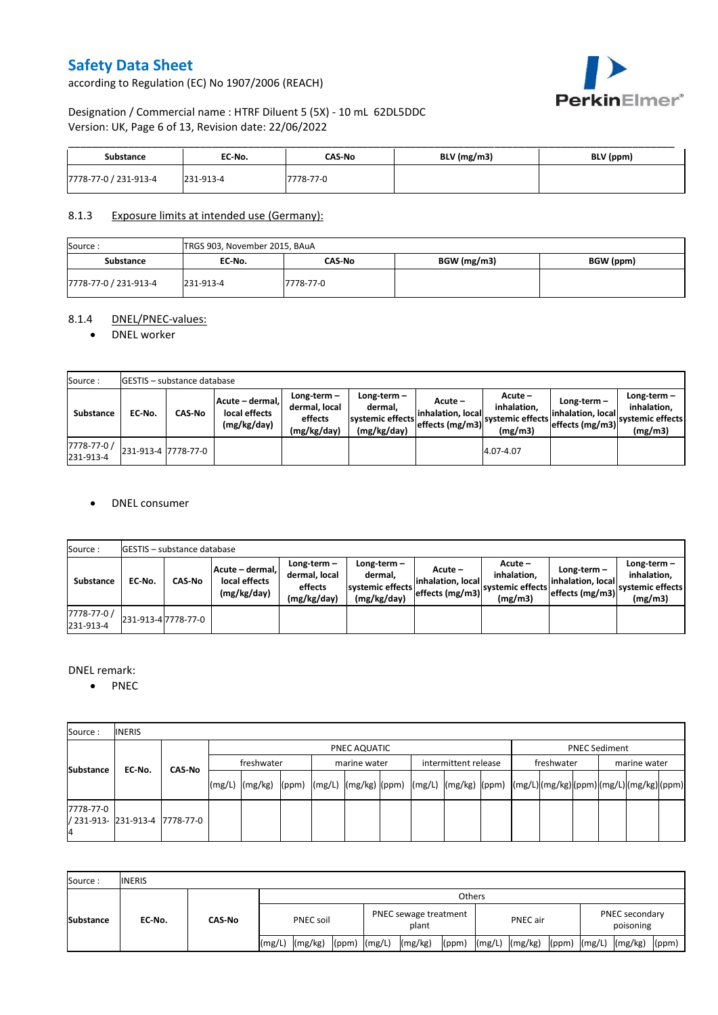according to Regulation (EC) No 1907/2006 (REACH)



### Designation / Commercial name : HTRF Diluent 5 (5X) - 10 mL 62DL5DDC Version: UK, Page 6 of 13, Revision date: 22/06/2022

| Substance             | EC No.    | <b>CAS-No</b> | $BLV$ (mg/m3) | BLV (ppm) |
|-----------------------|-----------|---------------|---------------|-----------|
| 7778-77-0 / 231-913-4 | 231-913-4 | 7778-77-0     |               |           |

### 8.1.3 Exposure limits at intended use (Germany):

| Source:               | TRGS 903, November 2015, BAuA |           |             |           |  |  |  |  |  |  |
|-----------------------|-------------------------------|-----------|-------------|-----------|--|--|--|--|--|--|
| <b>Substance</b>      | EC No.                        | CAS-No    | BGW (mg/m3) | BGW (ppm) |  |  |  |  |  |  |
| 7778-77-0 / 231-913-4 | 231-913-4                     | 7778-77-0 |             |           |  |  |  |  |  |  |

### 8.1.4 DNEL/PNEC-values:

#### • DNEL worker

| Source:                  |        | GESTIS - substance database |                                                 |                                                       |                                                          |                                                  |                                                         |                                                        |                                                          |  |  |  |  |  |  |
|--------------------------|--------|-----------------------------|-------------------------------------------------|-------------------------------------------------------|----------------------------------------------------------|--------------------------------------------------|---------------------------------------------------------|--------------------------------------------------------|----------------------------------------------------------|--|--|--|--|--|--|
| Substance                | EC-No. | <b>CAS-No</b>               | Acute - dermal,<br>local effects<br>(mg/kg/day) | Long-term-<br>dermal, local<br>effects<br>(mg/kg/day) | Long-term-<br>dermal.<br>systemic effects<br>(mg/kg/day) | Acute –<br>linhalation. local<br>effects (mg/m3) | $Acute -$<br>inhalation.<br>systemic effects<br>(mg/m3) | $Long-term -$<br>linhalation. local<br>effects (mg/m3) | Long-term-<br>inhalation.<br>systemic effects<br>(mg/m3) |  |  |  |  |  |  |
| 7778-77-0 /<br>231-913-4 |        | 231-913-4 7778-77-0         |                                                 |                                                       |                                                          |                                                  | 4.07-4.07                                               |                                                        |                                                          |  |  |  |  |  |  |

#### DNEL consumer

| Source:                  |        | <b>GESTIS</b> - substance database |                                                 |                                                          |                                                          |                               |                                                                                                |                                                      |                                                             |  |  |  |  |  |
|--------------------------|--------|------------------------------------|-------------------------------------------------|----------------------------------------------------------|----------------------------------------------------------|-------------------------------|------------------------------------------------------------------------------------------------|------------------------------------------------------|-------------------------------------------------------------|--|--|--|--|--|
| <b>Substance</b>         | EC-No. | <b>CAS No</b>                      | Acute - dermal,<br>local effects<br>(mg/kg/day) | Long term $-$<br>dermal, local<br>effects<br>(mg/kg/day) | Long-term-<br>dermal,<br>systemic effects<br>(mg/kg/day) | Acute -<br>linhalation. local | $Acute -$<br>inhalation.<br>---> effects (mg/m3)  <sup>systemic effects</sup>   ---<br>(mg/m3) | Long-term –<br>linhalation. local<br>effects (mg/m3) | Long-term $-$<br>inhalation.<br>systemic effects<br>(mg/m3) |  |  |  |  |  |
| 7778-77-0 /<br>231-913-4 |        | 231-913-4 7778-77-0                |                                                 |                                                          |                                                          |                               |                                                                                                |                                                      |                                                             |  |  |  |  |  |

#### DNEL remark:

• PNEC

| Source:         | <b>INERIS</b>                  |        |            |              |  |  |              |  |                      |  |            |  |                      |  |  |  |  |
|-----------------|--------------------------------|--------|------------|--------------|--|--|--------------|--|----------------------|--|------------|--|----------------------|--|--|--|--|
| Substance       |                                | CAS-No |            | PNEC AQUATIC |  |  |              |  |                      |  |            |  | <b>PNEC Sediment</b> |  |  |  |  |
|                 |                                |        | freshwater |              |  |  | marine water |  | intermittent release |  | freshwater |  | marine water         |  |  |  |  |
|                 | EC No.                         |        |            |              |  |  |              |  |                      |  |            |  |                      |  |  |  |  |
| 7778-77-0<br>14 | / 231-913- 231-913-4 7778-77-0 |        |            |              |  |  |              |  |                      |  |            |  |                      |  |  |  |  |

| Source:          | <b>INERIS</b> |               |                  |         |                  |                                |         |       |          |                |       |                             |                |       |
|------------------|---------------|---------------|------------------|---------|------------------|--------------------------------|---------|-------|----------|----------------|-------|-----------------------------|----------------|-------|
| <b>Substance</b> | EC No.        | <b>CAS-No</b> | <b>Others</b>    |         |                  |                                |         |       |          |                |       |                             |                |       |
|                  |               |               | <b>PNEC soil</b> |         |                  | PNEC sewage treatment<br>plant |         |       | PNEC air |                |       | PNEC secondary<br>poisoning |                |       |
|                  |               |               | (mg/L)           | (mg/kg) | $(ppm)$ $(mg/L)$ |                                | (mg/kg) | (ppm) |          | (mg/L) (mg/kg) | (ppm) |                             | (mg/L) (mg/kg) | (ppm) |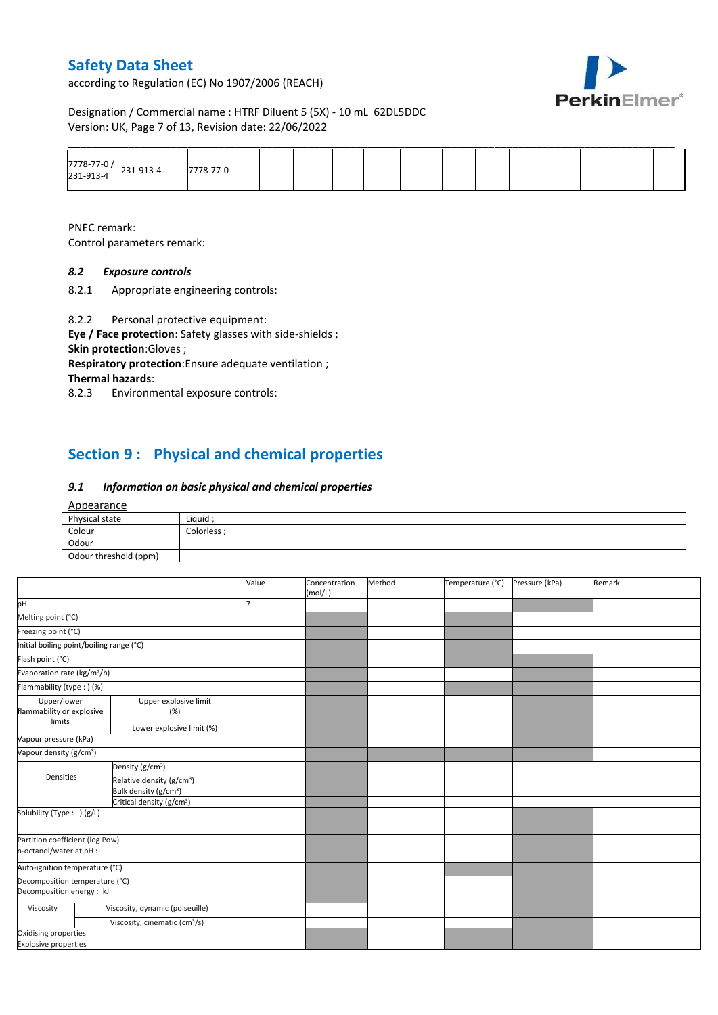according to Regulation (EC) No 1907/2006 (REACH)



Designation / Commercial name : HTRF Diluent 5 (5X) - 10 mL 62DL5DDC Version: UK, Page 7 of 13, Revision date: 22/06/2022

|                                    |          |  |  |  |  |  | ______ |  |
|------------------------------------|----------|--|--|--|--|--|--------|--|
| 7778-77-0 /<br>231-913-4 231-913-4 | 778-77-0 |  |  |  |  |  |        |  |

PNEC remark: Control parameters remark:

### *8.2 Exposure controls*

8.2.1 Appropriate engineering controls:

8.2.2 Personal protective equipment:

**Eye / Face protection**: Safety glasses with side-shields ; **Skin protection**:Gloves ;

**Respiratory protection**:Ensure adequate ventilation ;

**Thermal hazards**:

8.2.3 Environmental exposure controls:

## **Section 9 : Physical and chemical properties**

#### *9.1 Information on basic physical and chemical properties*

#### Appearance

| $-$ PPCC.c.nec        |           |
|-----------------------|-----------|
| Physical state        | Liquid    |
| Colour                | Colorless |
| Odour                 |           |
| Odour threshold (ppm) |           |

|                                                             |                                           | Value | Concentration<br>(mol/L) | Method | Temperature (°C) | Pressure (kPa) | Remark |
|-------------------------------------------------------------|-------------------------------------------|-------|--------------------------|--------|------------------|----------------|--------|
| pH                                                          |                                           |       |                          |        |                  |                |        |
| Melting point (°C)                                          |                                           |       |                          |        |                  |                |        |
| Freezing point (°C)                                         |                                           |       |                          |        |                  |                |        |
| Initial boiling point/boiling range (°C)                    |                                           |       |                          |        |                  |                |        |
| Flash point (°C)                                            |                                           |       |                          |        |                  |                |        |
| Evaporation rate (kg/m <sup>2</sup> /h)                     |                                           |       |                          |        |                  |                |        |
| Flammability (type: ) (%)                                   |                                           |       |                          |        |                  |                |        |
| Upper/lower<br>flammability or explosive<br>limits          | Upper explosive limit<br>(% )             |       |                          |        |                  |                |        |
|                                                             | Lower explosive limit (%)                 |       |                          |        |                  |                |        |
| Vapour pressure (kPa)                                       |                                           |       |                          |        |                  |                |        |
| Vapour density (g/cm <sup>3</sup> )                         |                                           |       |                          |        |                  |                |        |
|                                                             | Density (g/cm <sup>3</sup> )              |       |                          |        |                  |                |        |
| Densities                                                   | Relative density (g/cm <sup>3</sup> )     |       |                          |        |                  |                |        |
|                                                             | Bulk density (g/cm <sup>3</sup> )         |       |                          |        |                  |                |        |
|                                                             | Critical density (g/cm <sup>3</sup> )     |       |                          |        |                  |                |        |
| Solubility (Type: ) (g/L)                                   |                                           |       |                          |        |                  |                |        |
| Partition coefficient (log Pow)<br>n-octanol/water at pH :  |                                           |       |                          |        |                  |                |        |
| Auto-ignition temperature (°C)                              |                                           |       |                          |        |                  |                |        |
| Decomposition temperature (°C)<br>Decomposition energy : kJ |                                           |       |                          |        |                  |                |        |
| Viscosity                                                   | Viscosity, dynamic (poiseuille)           |       |                          |        |                  |                |        |
|                                                             | Viscosity, cinematic (cm <sup>3</sup> /s) |       |                          |        |                  |                |        |
| Oxidising properties                                        |                                           |       |                          |        |                  |                |        |
| <b>Explosive properties</b>                                 |                                           |       |                          |        |                  |                |        |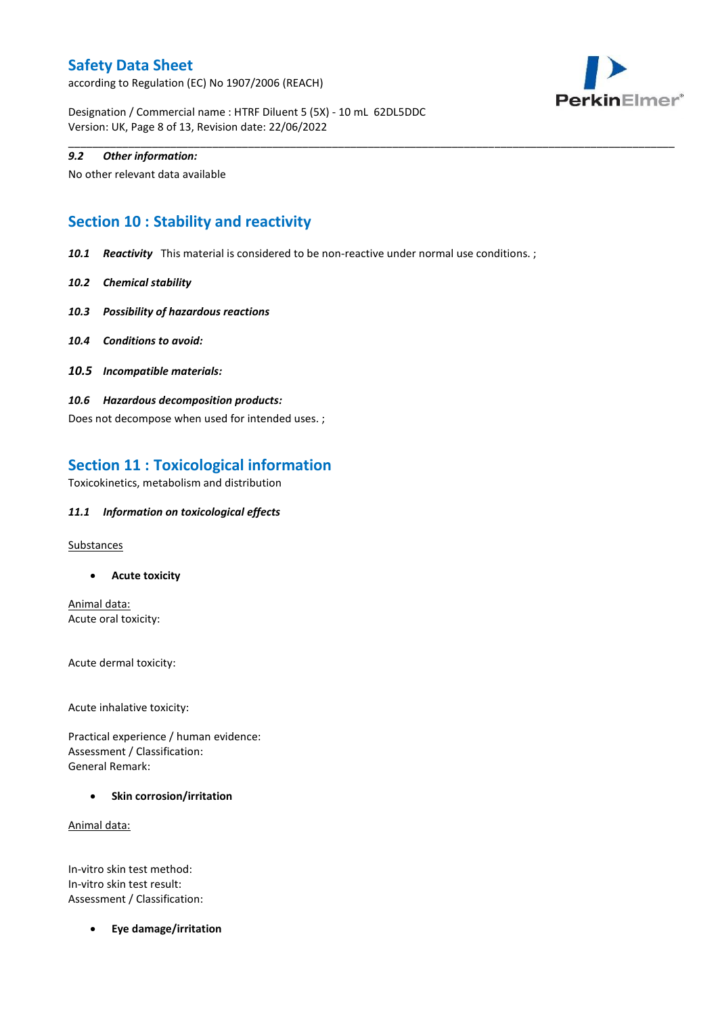according to Regulation (EC) No 1907/2006 (REACH)



Designation / Commercial name : HTRF Diluent 5 (5X) - 10 mL 62DL5DDC Version: UK, Page 8 of 13, Revision date: 22/06/2022

#### *9.2 Other information:*

No other relevant data available

## **Section 10 : Stability and reactivity**

*10.1 Reactivity* This material is considered to be non-reactive under normal use conditions. ;

\_\_\_\_\_\_\_\_\_\_\_\_\_\_\_\_\_\_\_\_\_\_\_\_\_\_\_\_\_\_\_\_\_\_\_\_\_\_\_\_\_\_\_\_\_\_\_\_\_\_\_\_\_\_\_\_\_\_\_\_\_\_\_\_\_\_\_\_\_\_\_\_\_\_\_\_\_\_\_\_\_\_\_\_\_\_\_\_\_\_\_\_\_\_\_\_\_\_\_\_\_

- *10.2 Chemical stability*
- *10.3 Possibility of hazardous reactions*
- *10.4 Conditions to avoid:*
- *10.5 Incompatible materials:*
- *10.6 Hazardous decomposition products:*

Does not decompose when used for intended uses. ;

### **Section 11 : Toxicological information**

Toxicokinetics, metabolism and distribution

#### *11.1 Information on toxicological effects*

**Substances** 

**Acute toxicity**

Animal data: Acute oral toxicity:

Acute dermal toxicity:

Acute inhalative toxicity:

Practical experience / human evidence: Assessment / Classification: General Remark:

**•** Skin corrosion/irritation

Animal data:

In-vitro skin test method: In-vitro skin test result: Assessment / Classification:

**Eye damage/irritation**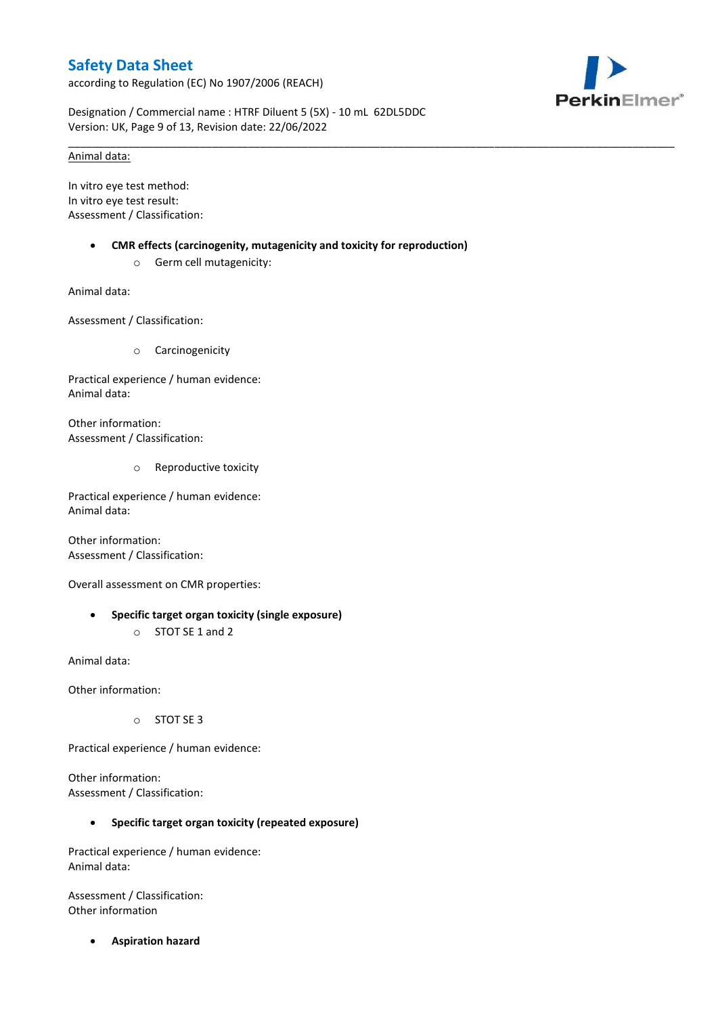according to Regulation (EC) No 1907/2006 (REACH)



Designation / Commercial name : HTRF Diluent 5 (5X) - 10 mL 62DL5DDC Version: UK, Page 9 of 13, Revision date: 22/06/2022

### Animal data:

In vitro eye test method: In vitro eye test result: Assessment / Classification:

**CMR effects (carcinogenity, mutagenicity and toxicity for reproduction)**

\_\_\_\_\_\_\_\_\_\_\_\_\_\_\_\_\_\_\_\_\_\_\_\_\_\_\_\_\_\_\_\_\_\_\_\_\_\_\_\_\_\_\_\_\_\_\_\_\_\_\_\_\_\_\_\_\_\_\_\_\_\_\_\_\_\_\_\_\_\_\_\_\_\_\_\_\_\_\_\_\_\_\_\_\_\_\_\_\_\_\_\_\_\_\_\_\_\_\_\_\_

o Germ cell mutagenicity:

Animal data:

Assessment / Classification:

o Carcinogenicity

Practical experience / human evidence: Animal data:

Other information: Assessment / Classification:

o Reproductive toxicity

Practical experience / human evidence: Animal data:

Other information: Assessment / Classification:

Overall assessment on CMR properties:

 **Specific target organ toxicity (single exposure)** o STOT SE 1 and 2

Animal data:

Other information:

o STOT SE 3

Practical experience / human evidence:

Other information: Assessment / Classification:

#### **Specific target organ toxicity (repeated exposure)**

Practical experience / human evidence: Animal data:

Assessment / Classification: Other information

**Aspiration hazard**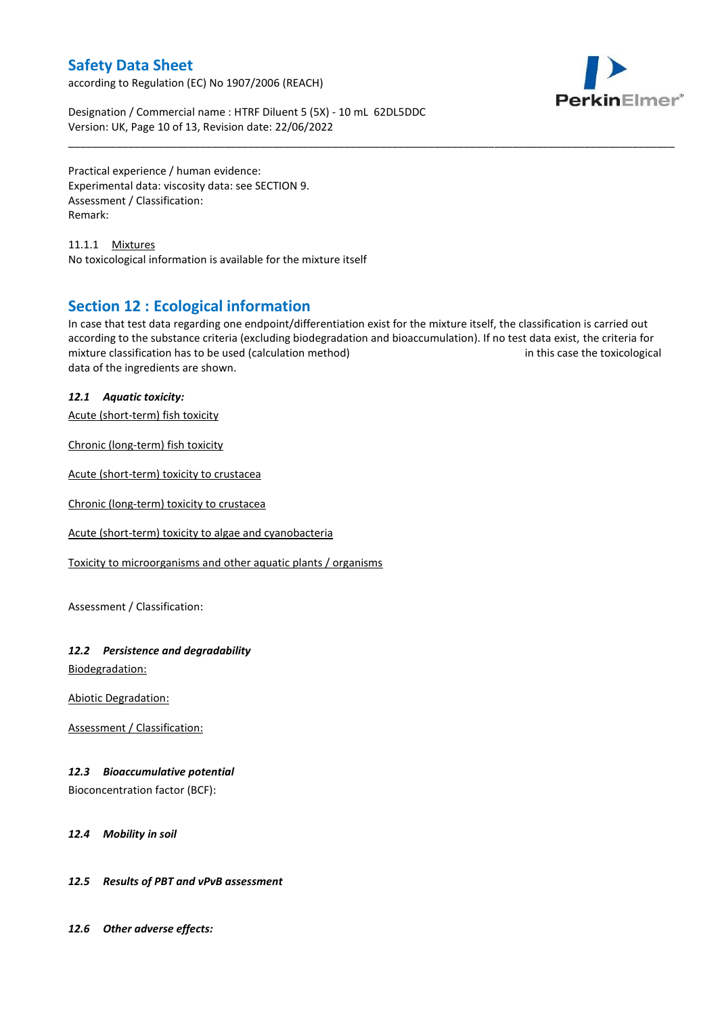according to Regulation (EC) No 1907/2006 (REACH)



Designation / Commercial name : HTRF Diluent 5 (5X) - 10 mL 62DL5DDC Version: UK, Page 10 of 13, Revision date: 22/06/2022

Practical experience / human evidence: Experimental data: viscosity data: see SECTION 9. Assessment / Classification: Remark:

11.1.1 Mixtures No toxicological information is available for the mixture itself

### **Section 12 : Ecological information**

In case that test data regarding one endpoint/differentiation exist for the mixture itself, the classification is carried out according to the substance criteria (excluding biodegradation and bioaccumulation). If no test data exist, the criteria for mixture classification has to be used (calculation method) in this case the toxicological data of the ingredients are shown.

\_\_\_\_\_\_\_\_\_\_\_\_\_\_\_\_\_\_\_\_\_\_\_\_\_\_\_\_\_\_\_\_\_\_\_\_\_\_\_\_\_\_\_\_\_\_\_\_\_\_\_\_\_\_\_\_\_\_\_\_\_\_\_\_\_\_\_\_\_\_\_\_\_\_\_\_\_\_\_\_\_\_\_\_\_\_\_\_\_\_\_\_\_\_\_\_\_\_\_\_\_

### *12.1 Aquatic toxicity:*

Acute (short-term) fish toxicity

Chronic (long-term) fish toxicity

Acute (short-term) toxicity to crustacea

Chronic (long-term) toxicity to crustacea

Acute (short-term) toxicity to algae and cyanobacteria

Toxicity to microorganisms and other aquatic plants / organisms

Assessment / Classification:

### *12.2 Persistence and degradability*

Biodegradation:

Abiotic Degradation:

Assessment / Classification:

### *12.3 Bioaccumulative potential*

Bioconcentration factor (BCF):

#### *12.4 Mobility in soil*

### *12.5 Results of PBT and vPvB assessment*

*12.6 Other adverse effects:*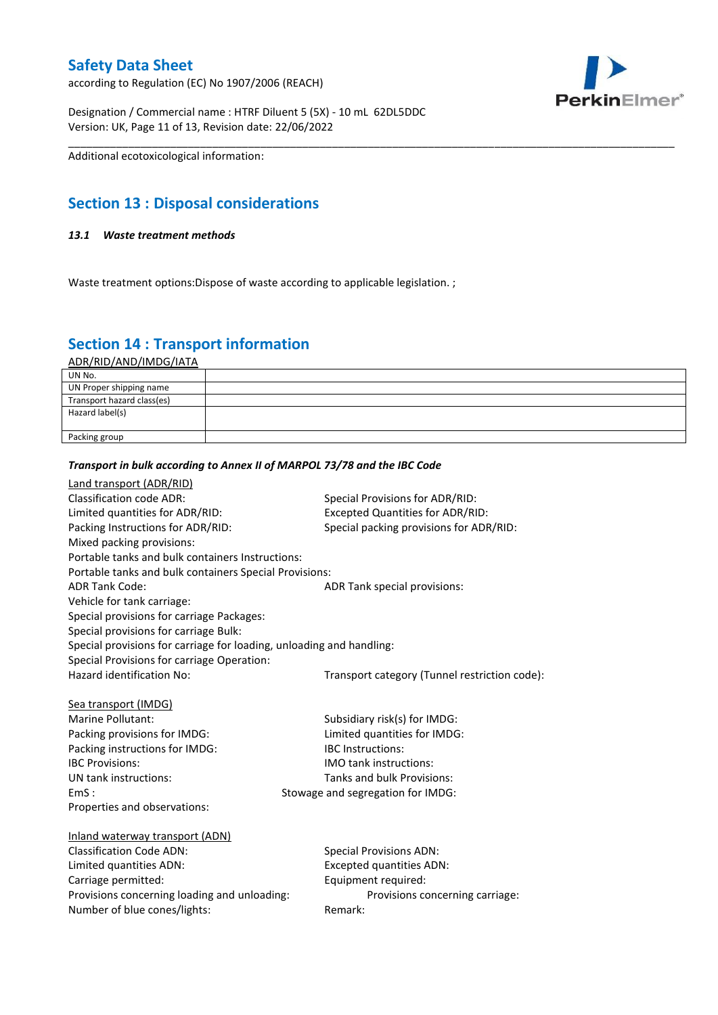according to Regulation (EC) No 1907/2006 (REACH)



Designation / Commercial name : HTRF Diluent 5 (5X) - 10 mL 62DL5DDC Version: UK, Page 11 of 13, Revision date: 22/06/2022

Additional ecotoxicological information:

## **Section 13 : Disposal considerations**

### *13.1 Waste treatment methods*

Waste treatment options: Dispose of waste according to applicable legislation. ;

## **Section 14 : Transport information**

ADR/RID/AND/IMDG/IATA

| UN No.                     |  |
|----------------------------|--|
| UN Proper shipping name    |  |
| Transport hazard class(es) |  |
| Hazard label(s)            |  |
|                            |  |
| Packing group              |  |

\_\_\_\_\_\_\_\_\_\_\_\_\_\_\_\_\_\_\_\_\_\_\_\_\_\_\_\_\_\_\_\_\_\_\_\_\_\_\_\_\_\_\_\_\_\_\_\_\_\_\_\_\_\_\_\_\_\_\_\_\_\_\_\_\_\_\_\_\_\_\_\_\_\_\_\_\_\_\_\_\_\_\_\_\_\_\_\_\_\_\_\_\_\_\_\_\_\_\_\_\_

#### *Transport in bulk according to Annex II of MARPOL 73/78 and the IBC Code*

| <b>Land transport (ADR/RID)</b><br><b>Classification code ADR:</b><br>Limited quantities for ADR/RID:<br>Packing Instructions for ADR/RID:<br>Mixed packing provisions:<br>Portable tanks and bulk containers Instructions: | Special Provisions for ADR/RID:<br><b>Excepted Quantities for ADR/RID:</b><br>Special packing provisions for ADR/RID: |
|-----------------------------------------------------------------------------------------------------------------------------------------------------------------------------------------------------------------------------|-----------------------------------------------------------------------------------------------------------------------|
| Portable tanks and bulk containers Special Provisions:                                                                                                                                                                      |                                                                                                                       |
| <b>ADR Tank Code:</b><br>Vehicle for tank carriage:<br>Special provisions for carriage Packages:<br>Special provisions for carriage Bulk:                                                                                   | ADR Tank special provisions:                                                                                          |
| Special provisions for carriage for loading, unloading and handling:                                                                                                                                                        |                                                                                                                       |
| Special Provisions for carriage Operation:<br>Hazard identification No:                                                                                                                                                     | Transport category (Tunnel restriction code):                                                                         |
| Sea transport (IMDG)                                                                                                                                                                                                        |                                                                                                                       |
| Marine Pollutant:                                                                                                                                                                                                           | Subsidiary risk(s) for IMDG:                                                                                          |
| Packing provisions for IMDG:                                                                                                                                                                                                | Limited quantities for IMDG:                                                                                          |
| Packing instructions for IMDG:                                                                                                                                                                                              | <b>IBC</b> Instructions:                                                                                              |
| <b>IBC Provisions:</b>                                                                                                                                                                                                      | IMO tank instructions:                                                                                                |
| UN tank instructions:                                                                                                                                                                                                       | Tanks and bulk Provisions:                                                                                            |
| EmS:                                                                                                                                                                                                                        | Stowage and segregation for IMDG:                                                                                     |
| Properties and observations:                                                                                                                                                                                                |                                                                                                                       |
| Inland waterway transport (ADN)                                                                                                                                                                                             |                                                                                                                       |
| <b>Classification Code ADN:</b>                                                                                                                                                                                             | <b>Special Provisions ADN:</b>                                                                                        |
| Limited quantities ADN:                                                                                                                                                                                                     | <b>Excepted quantities ADN:</b>                                                                                       |
| Carriage permitted:                                                                                                                                                                                                         | Equipment required:                                                                                                   |
| Provisions concerning loading and unloading:                                                                                                                                                                                | Provisions concerning carriage:                                                                                       |
| Number of blue cones/lights:                                                                                                                                                                                                | Remark:                                                                                                               |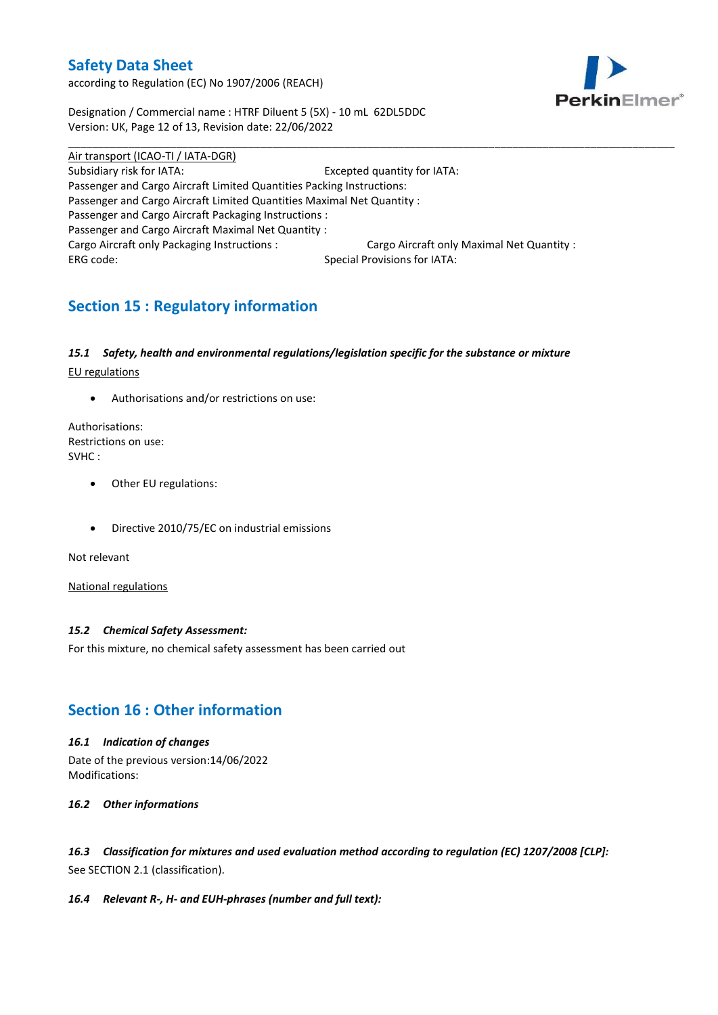according to Regulation (EC) No 1907/2006 (REACH)



Designation / Commercial name : HTRF Diluent 5 (5X) - 10 mL 62DL5DDC Version: UK, Page 12 of 13, Revision date: 22/06/2022

Air transport (ICAO-TI / IATA-DGR) Subsidiary risk for IATA: Excepted quantity for IATA: Passenger and Cargo Aircraft Limited Quantities Packing Instructions: Passenger and Cargo Aircraft Limited Quantities Maximal Net Quantity : Passenger and Cargo Aircraft Packaging Instructions : Passenger and Cargo Aircraft Maximal Net Quantity : Cargo Aircraft only Packaging Instructions : Cargo Aircraft only Maximal Net Quantity : ERG code: Special Provisions for IATA:

\_\_\_\_\_\_\_\_\_\_\_\_\_\_\_\_\_\_\_\_\_\_\_\_\_\_\_\_\_\_\_\_\_\_\_\_\_\_\_\_\_\_\_\_\_\_\_\_\_\_\_\_\_\_\_\_\_\_\_\_\_\_\_\_\_\_\_\_\_\_\_\_\_\_\_\_\_\_\_\_\_\_\_\_\_\_\_\_\_\_\_\_\_\_\_\_\_\_\_\_\_

# **Section 15 : Regulatory information**

### *15.1 Safety, health and environmental regulations/legislation specific for the substance or mixture*

EU regulations

Authorisations and/or restrictions on use:

Authorisations: Restrictions on use: SVHC :

- Other EU regulations:
- Directive 2010/75/EC on industrial emissions

Not relevant

National regulations

#### *15.2 Chemical Safety Assessment:*

For this mixture, no chemical safety assessment has been carried out

## **Section 16 : Other information**

#### *16.1 Indication of changes*

Date of the previous version:14/06/2022 Modifications:

#### *16.2 Other informations*

*16.3 Classification for mixtures and used evaluation method according to regulation (EC) 1207/2008 [CLP]:* See SECTION 2.1 (classification).

#### *16.4 Relevant R-, H- and EUH-phrases (number and full text):*